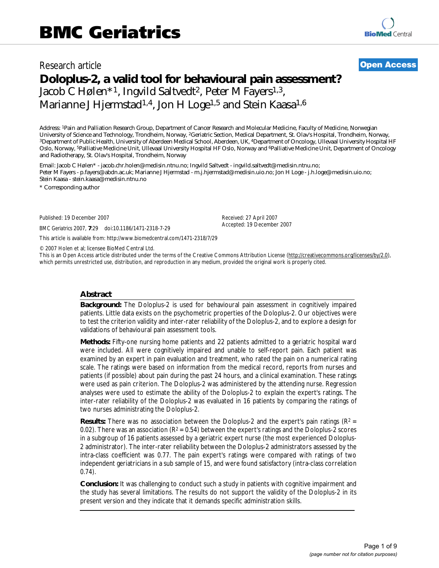# Research article **[Open Access](http://www.biomedcentral.com/info/about/charter/) Doloplus-2, a valid tool for behavioural pain assessment?** Jacob C Hølen<sup>\*1</sup>, Ingvild Saltvedt<sup>2</sup>, Peter M Fayers<sup>1,3</sup>, Marianne J Hjermstad<sup>1,4</sup>, Jon H Loge<sup>1,5</sup> and Stein Kaasa<sup>1,6</sup>

Address: 1Pain and Palliation Research Group, Department of Cancer Research and Molecular Medicine, Faculty of Medicine, Norwegian University of Science and Technology, Trondheim, Norway, <sup>2</sup>Geriatric Section, Medical Department, St. Olav's Hospital, Trondheim, Norway,<br><sup>3</sup>Department of Public Health, University of Aberdeen Medical School, Aberdeen, UK Oslo, Norway, 5Palliative Medicine Unit, Ullevaal University Hospital HF Oslo, Norway and 6Palliative Medicine Unit, Department of Oncology and Radiotherapy, St. Olav's Hospital, Trondheim, Norway

Email: Jacob C Hølen\* - jacob.chr.holen@medisin.ntnu.no; Ingvild Saltvedt - ingvild.saltvedt@medisin.ntnu.no; Peter M Fayers - p.fayers@abdn.ac.uk; Marianne J Hjermstad - m.j.hjermstad@medisin.uio.no; Jon H Loge - j.h.loge@medisin.uio.no; Stein Kaasa - stein.kaasa@medisin.ntnu.no

\* Corresponding author

Published: 19 December 2007

*BMC Geriatrics* 2007, **7**:29 doi:10.1186/1471-2318-7-29

[This article is available from: http://www.biomedcentral.com/1471-2318/7/29](http://www.biomedcentral.com/1471-2318/7/29)

© 2007 Holen et al; licensee BioMed Central Ltd.

This is an Open Access article distributed under the terms of the Creative Commons Attribution License [\(http://creativecommons.org/licenses/by/2.0\)](http://creativecommons.org/licenses/by/2.0), which permits unrestricted use, distribution, and reproduction in any medium, provided the original work is properly cited.

Received: 27 April 2007 Accepted: 19 December 2007

#### **Abstract**

**Background:** The Doloplus-2 is used for behavioural pain assessment in cognitively impaired patients. Little data exists on the psychometric properties of the Doloplus-2. Our objectives were to test the criterion validity and inter-rater reliability of the Doloplus-2, and to explore a design for validations of behavioural pain assessment tools.

**Methods:** Fifty-one nursing home patients and 22 patients admitted to a geriatric hospital ward were included. All were cognitively impaired and unable to self-report pain. Each patient was examined by an expert in pain evaluation and treatment, who rated the pain on a numerical rating scale. The ratings were based on information from the medical record, reports from nurses and patients (if possible) about pain during the past 24 hours, and a clinical examination. These ratings were used as pain criterion. The Doloplus-2 was administered by the attending nurse. Regression analyses were used to estimate the ability of the Doloplus-2 to explain the expert's ratings. The inter-rater reliability of the Doloplus-2 was evaluated in 16 patients by comparing the ratings of two nurses administrating the Doloplus-2.

**Results:** There was no association between the Doloplus-2 and the expert's pain ratings (R<sup>2</sup> = 0.02). There was an association ( $R^2 = 0.54$ ) between the expert's ratings and the Doloplus-2 scores in a subgroup of 16 patients assessed by a geriatric expert nurse (the most experienced Doloplus-2 administrator). The inter-rater reliability between the Doloplus-2 administrators assessed by the intra-class coefficient was 0.77. The pain expert's ratings were compared with ratings of two independent geriatricians in a sub sample of 15, and were found satisfactory (intra-class correlation 0.74).

**Conclusion:** It was challenging to conduct such a study in patients with cognitive impairment and the study has several limitations. The results do not support the validity of the Doloplus-2 in its present version and they indicate that it demands specific administration skills.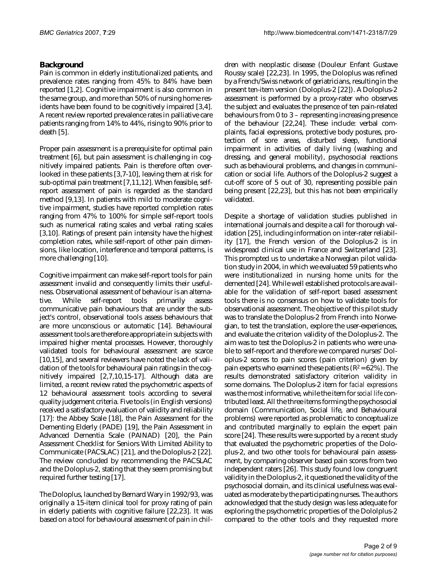# **Background**

Pain is common in elderly institutionalized patients, and prevalence rates ranging from 45% to 84% have been reported [1,2]. Cognitive impairment is also common in the same group, and more than 50% of nursing home residents have been found to be cognitively impaired [3,4]. A recent review reported prevalence rates in palliative care patients ranging from 14% to 44%, rising to 90% prior to death [5].

Proper pain assessment is a prerequisite for optimal pain treatment [6], but pain assessment is challenging in cognitively impaired patients. Pain is therefore often overlooked in these patients [3,7-10], leaving them at risk for sub-optimal pain treatment [7,11,12]. When feasible, selfreport assessment of pain is regarded as the standard method [9,13]. In patients with mild to moderate cognitive impairment, studies have reported completion rates ranging from 47% to 100% for simple self-report tools such as numerical rating scales and verbal rating scales [3,10]. Ratings of present pain intensity have the highest completion rates, while self-report of other pain dimensions, like location, interference and temporal patterns, is more challenging [10].

Cognitive impairment can make self-report tools for pain assessment invalid and consequently limits their usefulness. Observational assessment of behaviour is an alternative. While self-report tools primarily assess communicative pain behaviours that are under the subject's control, observational tools assess behaviours that are more unconscious or automatic [14]. Behavioural assessment tools are therefore appropriate in subjects with impaired higher mental processes. However, thoroughly validated tools for behavioural assessment are scarce [10,15], and several reviewers have noted the lack of validation of the tools for behavioural pain ratings in the cognitively impaired [2,7,10,15-17]. Although data are limited, a recent review rated the psychometric aspects of 12 behavioural assessment tools according to several quality judgement criteria. Five tools (in English versions) received a satisfactory evaluation of validity and reliability [17]: the Abbey Scale [18], the Pain Assessment for the Dementing Elderly (PADE) [19], the Pain Assessment in Advanced Dementia Scale (PAINAD) [20], the Pain Assessment Checklist for Seniors With Limited Ability to Communicate (PACSLAC) [21], and the Doloplus-2 [22]. The review concluded by recommending the PACSLAC and the Doloplus-2, stating that they seem promising but required further testing [17].

The Doloplus, launched by Bernard Wary in 1992/93, was originally a 15-item clinical tool for proxy rating of pain in elderly patients with cognitive failure [22,23]. It was based on a tool for behavioural assessment of pain in children with neoplastic disease (Douleur Enfant Gustave Roussy scale) [22,23]. In 1995, the Doloplus was refined by a French/Swiss network of geriatricians, resulting in the present ten-item version (Doloplus-2 [22]). A Doloplus-2 assessment is performed by a proxy-rater who observes the subject and evaluates the presence of ten pain-related behaviours from 0 to 3 – representing increasing presence of the behaviour [22,24]. These include: verbal complaints, facial expressions, protective body postures, protection of sore areas, disturbed sleep, functional impairment in activities of daily living (washing and dressing, and general mobility), psychosocial reactions such as behavioural problems, and changes in communication or social life. Authors of the Doloplus-2 suggest a cut-off score of 5 out of 30, representing possible pain being present [22,23], but this has not been empirically validated.

Despite a shortage of validation studies published in international journals and despite a call for thorough validation [25], including information on inter-rater reliability [17], the French version of the Doloplus-2 is in widespread clinical use in France and Switzerland [23]. This prompted us to undertake a Norwegian pilot validation study in 2004, in which we evaluated 59 patients who were institutionalized in nursing home units for the demented [24]. While well established protocols are available for the validation of self-report based assessment tools there is no consensus on how to validate tools for observational assessment. The objective of this pilot study was to translate the Doloplus-2 from French into Norwegian, to test the translation, explore the user-experiences, and evaluate the criterion validity of the Doloplus-2. The aim was to test the Doloplus-2 in patients who were unable to self-report and therefore we compared nurses' Doloplus-2 scores to pain scores (pain criterion) given by pain experts who examined these patients  $(R^2 = 62\%)$ . The results demonstrated satisfactory criterion validity in some domains. The Doloplus-2 item for *facial expressions* was the most informative, while the item for *social life* contributed least. All the three items forming the psychosocial domain (Communication, Social life, and Behavioural problems) were reported as problematic to conceptualize and contributed marginally to explain the expert pain score [24]. These results were supported by a recent study that evaluated the psychometric properties of the Doloplus-2, and two other tools for behavioural pain assessment, by comparing observer based pain scores from two independent raters [26]. This study found low congruent validity in the Doloplus-2, it questioned the validity of the psychosocial domain, and its clinical usefulness was evaluated as moderate by the participating nurses. The authors acknowledged that the study design was less adequate for exploring the psychometric properties of the Dololplus-2 compared to the other tools and they requested more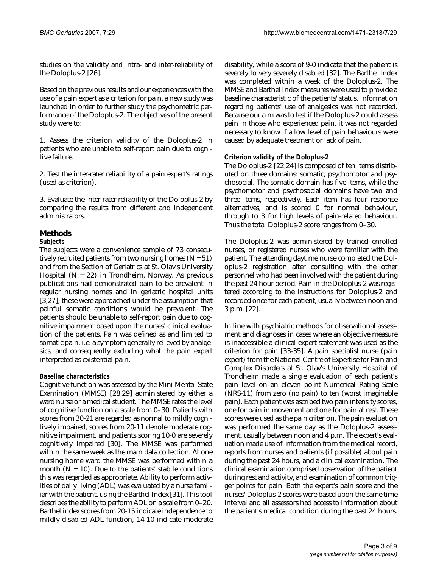studies on the validity and intra- and inter-reliability of the Doloplus-2 [26].

Based on the previous results and our experiences with the use of a pain expert as a criterion for pain, a new study was launched in order to further study the psychometric performance of the Doloplus-2. The objectives of the present study were to:

1. Assess the criterion validity of the Doloplus-2 in patients who are unable to self-report pain due to cognitive failure.

2. Test the inter-rater reliability of a pain expert's ratings (used as criterion).

3. Evaluate the inter-rater reliability of the Doloplus-2 by comparing the results from different and independent administrators.

## **Methods**

#### *Subjects*

The subjects were a convenience sample of 73 consecutively recruited patients from two nursing homes  $(N = 51)$ and from the Section of Geriatrics at St. Olav's University Hospital  $(N = 22)$  in Trondheim, Norway. As previous publications had demonstrated pain to be prevalent in regular nursing homes and in geriatric hospital units [3,27], these were approached under the assumption that painful somatic conditions would be prevalent. The patients should be unable to self-report pain due to cognitive impairment based upon the nurses' clinical evaluation of the patients. Pain was defined as and limited to somatic pain, i.e. a symptom generally relieved by analgesics, and consequently excluding what the pain expert interpreted as existential pain.

#### *Baseline characteristics*

Cognitive function was assessed by the Mini Mental State Examination (MMSE) [28,29] administered by either a ward nurse or a medical student. The MMSE rates the level of cognitive function on a scale from 0–30. Patients with scores from 30-21 are regarded as normal to mildly cognitively impaired, scores from 20-11 denote moderate cognitive impairment, and patients scoring 10-0 are severely cognitively impaired [30]. The MMSE was performed within the same week as the main data collection. At one nursing home ward the MMSE was performed within a month  $(N = 10)$ . Due to the patients' stabile conditions this was regarded as appropriate. Ability to perform activities of daily living (ADL) was evaluated by a nurse familiar with the patient, using the Barthel Index [31]. This tool describes the ability to perform ADL on a scale from 0–20. Barthel index scores from 20-15 indicate independence to mildly disabled ADL function, 14-10 indicate moderate

disability, while a score of 9-0 indicate that the patient is severely to very severely disabled [32]. The Barthel Index was completed within a week of the Doloplus-2. The MMSE and Barthel Index measures were used to provide a baseline characteristic of the patients' status. Information regarding patients' use of analgesics was not recorded. Because our aim was to test if the Doloplus-2 could assess pain in those who experienced pain, it was not regarded necessary to know if a low level of pain behaviours were caused by adequate treatment or lack of pain.

#### *Criterion validity of the Doloplus-2*

The Doloplus-2 [22,24] is composed of ten items distributed on three domains: somatic, psychomotor and psychosocial. The somatic domain has five items, while the psychomotor and psychosocial domains have two and three items, respectively. Each item has four response alternatives, and is scored 0 for normal behaviour, through to 3 for high levels of pain-related behaviour. Thus the total Doloplus-2 score ranges from 0–30.

The Doloplus-2 was administered by trained enrolled nurses, or registered nurses who were familiar with the patient. The attending daytime nurse completed the Doloplus-2 registration after consulting with the other personnel who had been involved with the patient during the past 24 hour period. Pain in the Doloplus-2 was registered according to the instructions for Doloplus-2 and recorded once for each patient, usually between noon and 3 p.m. [22].

In line with psychiatric methods for observational assessment and diagnoses in cases where an objective measure is inaccessible a clinical expert statement was used as the criterion for pain [33-35]. A pain specialist nurse (pain expert) from the National Centre of Expertise for Pain and Complex Disorders at St. Olav's University Hospital of Trondheim made a single evaluation of each patient's pain level on an eleven point Numerical Rating Scale (NRS-11) from zero (no pain) to ten (worst imaginable pain). Each patient was ascribed two pain intensity scores, one for pain in movement and one for pain at rest. These scores were used as the pain criterion. The pain evaluation was performed the same day as the Doloplus-2 assessment, usually between noon and 4 p.m. The expert's evaluation made use of information from the medical record, reports from nurses and patients (if possible) about pain during the past 24 hours, and a clinical examination. The clinical examination comprised observation of the patient during rest and activity, and examination of common trigger points for pain. Both the expert's pain score and the nurses' Doloplus-2 scores were based upon the same time interval and all assessors had access to information about the patient's medical condition during the past 24 hours.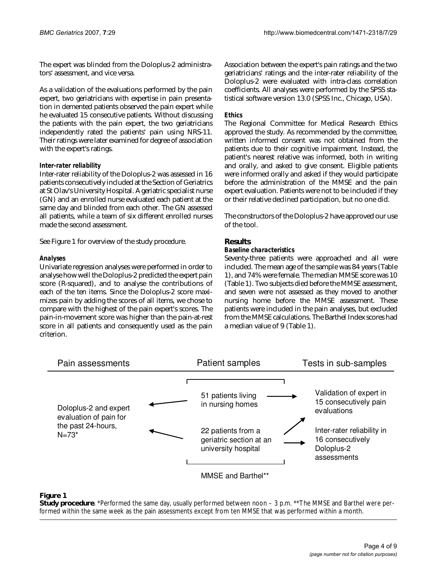The expert was blinded from the Doloplus-2 administrators' assessment, and vice versa.

As a validation of the evaluations performed by the pain expert, two geriatricians with expertise in pain presentation in demented patients observed the pain expert while he evaluated 15 consecutive patients. Without discussing the patients with the pain expert, the two geriatricians independently rated the patients' pain using NRS-11. Their ratings were later examined for degree of association with the expert's ratings.

# *Inter-rater reliability*

Inter-rater reliability of the Doloplus-2 was assessed in 16 patients consecutively included at the Section of Geriatrics at St Olav's University Hospital. A geriatric specialist nurse (GN) and an enrolled nurse evaluated each patient at the same day and blinded from each other. The GN assessed all patients, while a team of six different enrolled nurses made the second assessment.

See Figure 1 for overview of the study procedure.

# *Analyses*

Univariate regression analyses were performed in order to analyse how well the Doloplus-2 predicted the expert pain score (R-squared), and to analyse the contributions of each of the ten items. Since the Doloplus-2 score maximizes pain by adding the scores of all items, we chose to compare with the highest of the pain expert's scores. The pain-in-movement score was higher than the pain-at-rest score in all patients and consequently used as the pain criterion.

Association between the expert's pain ratings and the two geriatricians' ratings and the inter-rater reliability of the Doloplus-2 were evaluated with intra-class correlation coefficients. All analyses were performed by the SPSS statistical software version 13.0 (SPSS Inc., Chicago, USA).

## *Ethics*

The Regional Committee for Medical Research Ethics approved the study. As recommended by the committee, written informed consent was not obtained from the patients due to their cognitive impairment. Instead, the patient's nearest relative was informed, both in writing and orally, and asked to give consent. Eligible patients were informed orally and asked if they would participate before the administration of the MMSE and the pain expert evaluation. Patients were not to be included if they or their relative declined participation, but no one did.

The constructors of the Doloplus-2 have approved our use of the tool.

# **Results**

# *Baseline characteristics*

Seventy-three patients were approached and all were included. The mean age of the sample was 84 years (Table 1), and 74% were female. The median MMSE score was 10 (Table 1). Two subjects died before the MMSE assessment, and seven were not assessed as they moved to another nursing home before the MMSE assessment. These patients were included in the pain analyses, but excluded from the MMSE calculations. The Barthel Index scores had a median value of 9 (Table 1).



## Figure 1

**Study procedure**. \*Performed the same day, usually performed between noon – 3 p.m. \*\*The MMSE and Barthel were performed within the same week as the pain assessments except from ten MMSE that was performed within a month.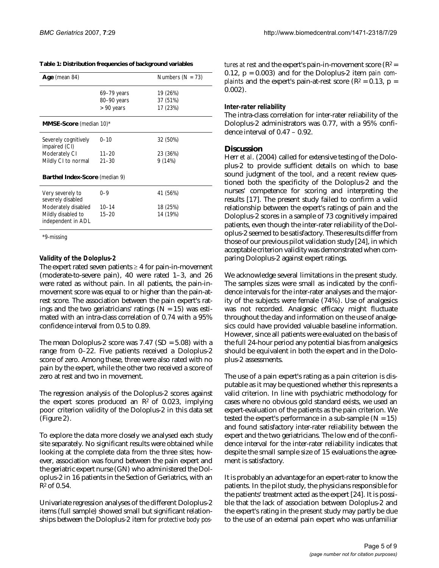| Age (mean 84)                            |               | Numbers $(N = 73)$ |
|------------------------------------------|---------------|--------------------|
|                                          | $69-79$ years | 19 (26%)           |
|                                          | 80-90 years   | 37 (51%)           |
|                                          | > 90 years    | 17 (23%)           |
| MMSE-Score (median 10)*                  |               |                    |
| Severely cognitively<br>impaired (CI)    | $0 - 10$      | 32 (50%)           |
| Moderately CI                            | $11 - 20$     | 23 (36%)           |
| Mildly CI to normal                      | $21 - 30$     | 9(14%)             |
| Barthel Index-Score (median 9)           |               |                    |
| Very severely to<br>severely disabled    | $0 - 9$       | 41 (56%)           |
| Moderately disabled                      | $10 - 14$     | 18 (25%)           |
| Mildly disabled to<br>independent in ADL | $15 - 20$     | 14 (19%)           |

#### **Table 1: Distribution frequencies of background variables**

#### *Validity of the Doloplus-2* The expert rated seven patients  $\geq 4$  for pain-in-movement (moderate-to-severe pain), 40 were rated 1–3, and 26 were rated as without pain. In all patients, the pain-inmovement score was equal to or higher than the pain-atrest score. The association between the pain expert's ratings and the two geriatricians' ratings  $(N = 15)$  was estimated with an intra-class correlation of 0.74 with a 95% confidence interval from 0.5 to 0.89.

The mean Doloplus-2 score was  $7.47$  (SD =  $5.08$ ) with a range from 0–22. Five patients received a Doloplus-2 score of zero. Among these, three were also rated with no pain by the expert, while the other two received a score of zero at rest and two in movement.

The regression analysis of the Doloplus-2 scores against the expert scores produced an  $\mathbb{R}^2$  of 0.023, implying poor criterion validity of the Doloplus-2 in this data set (Figure 2).

To explore the data more closely we analysed each study site separately. No significant results were obtained while looking at the complete data from the three sites; however, association was found between the pain expert and the geriatric expert nurse (GN) who administered the Doloplus-2 in 16 patients in the Section of Geriatrics, with an  $R^2$  of 0.54.

Univariate regression analyses of the different Doloplus-2 items (full sample) showed small but significant relationships between the Doloplus-2 item for *protective body pos-* *tures at rest and the expert's pain-in-movement score*  $(R^2 =$ 0.12, p = 0.003) and for the Doloplus-2 item *pain complaints* and the expert's pain-at-rest score ( $\mathbb{R}^2 = 0.13$ ,  $p =$ 0.002).

#### *Inter-rater reliability*

The intra-class correlation for inter-rater reliability of the Doloplus-2 administrators was 0.77, with a 95% confidence interval of 0.47 – 0.92.

## **Discussion**

Herr *et al*. (2004) called for extensive testing of the Doloplus-2 to provide sufficient details on which to base sound judgment of the tool, and a recent review questioned both the specificity of the Doloplus-2 and the nurses' competence for scoring and interpreting the results [17]. The present study failed to confirm a valid relationship between the expert's ratings of pain and the Doloplus-2 scores in a sample of 73 cognitively impaired patients, even though the inter-rater reliability of the Doloplus-2 seemed to be satisfactory. These results differ from those of our previous pilot validation study [24], in which acceptable criterion validity was demonstrated when comparing Doloplus-2 against expert ratings.

We acknowledge several limitations in the present study. The samples sizes were small as indicated by the confidence intervals for the inter-rater analyses and the majority of the subjects were female (74%). Use of analgesics was not recorded. Analgesic efficacy might fluctuate throughout the day and information on the use of analgesics could have provided valuable baseline information. However, since all patients were evaluated on the basis of the full 24-hour period any potential bias from analgesics should be equivalent in both the expert and in the Doloplus-2 assessments.

The use of a pain expert's rating as a pain criterion is disputable as it may be questioned whether this represents a valid criterion. In line with psychiatric methodology for cases where no obvious gold standard exists, we used an expert-evaluation of the patients as the pain criterion. We tested the expert's performance in a sub-sample  $(N = 15)$ and found satisfactory inter-rater reliability between the expert and the two geriatricians. The low end of the confidence interval for the inter-rater reliability indicates that despite the small sample size of 15 evaluations the agreement is satisfactory.

It is probably an advantage for an expert-rater to know the patients. In the pilot study, the physicians responsible for the patients' treatment acted as the expert [24]. It is possible that the lack of association between Doloplus-2 and the expert's rating in the present study may partly be due to the use of an external pain expert who was unfamiliar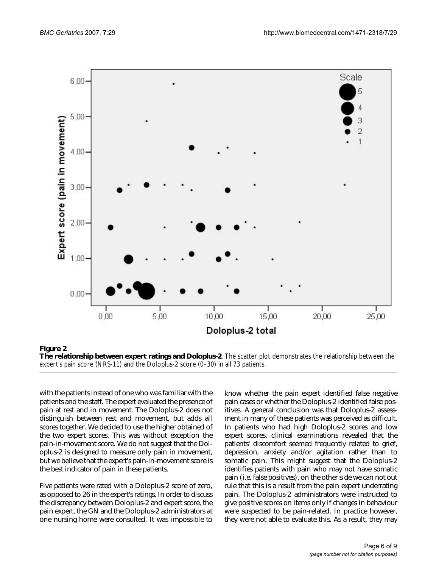

Figure 2 **The relationship between expert ratings and Doloplus-2**. The scatter plot demonstrates the relationship between the expert's pain score (NRS-11) and the Doloplus-2 score (0–30) in all 73 patients.

with the patients instead of one who was familiar with the patients and the staff. The expert evaluated the presence of pain at rest and in movement. The Doloplus-2 does not distinguish between rest and movement, but adds all scores together. We decided to use the higher obtained of the two expert scores. This was without exception the pain-in-movement score. We do not suggest that the Doloplus-2 is designed to measure only pain in movement, but we believe that the expert's pain-in-movement score is the best indicator of pain in these patients.

Five patients were rated with a Doloplus-2 score of zero, as opposed to 26 in the expert's ratings. In order to discuss the discrepancy between Doloplus-2 and expert score, the pain expert, the GN and the Doloplus-2 administrators at one nursing home were consulted. It was impossible to know whether the pain expert identified false negative pain cases or whether the Doloplus-2 identified false positives. A general conclusion was that Doloplus-2 assessment in many of these patients was perceived as difficult. In patients who had high Doloplus-2 scores and low expert scores, clinical examinations revealed that the patients' discomfort seemed frequently related to grief, depression, anxiety and/or agitation rather than to somatic pain. This might suggest that the Doloplus-2 identifies patients with pain who may not have somatic pain (i.e. false positives), on the other side we can not out rule that this is a result from the pain expert underrating pain. The Doloplus-2 administrators were instructed to give positive scores on items only if changes in behaviour were suspected to be pain-related. In practice however, they were not able to evaluate this. As a result, they may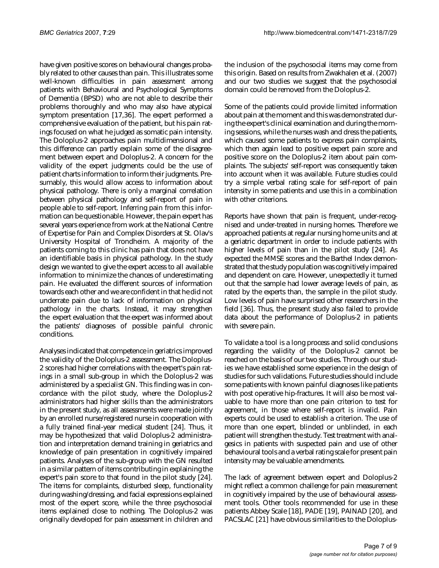have given positive scores on behavioural changes probably related to other causes than pain. This illustrates some well-known difficulties in pain assessment among patients with Behavioural and Psychological Symptoms of Dementia (BPSD) who are not able to describe their problems thoroughly and who may also have atypical symptom presentation [17,36]. The expert performed a comprehensive evaluation of the patient, but his pain ratings focused on what he judged as somatic pain intensity. The Doloplus-2 approaches pain multidimensional and this difference can partly explain some of the disagreement between expert and Doloplus-2. A concern for the validity of the expert judgments could be the use of patient charts information to inform their judgments. Presumably, this would allow access to information about physical pathology. There is only a marginal correlation between physical pathology and self-report of pain in people able to self-report. Inferring pain from this information can be questionable. However, the pain expert has several years experience from work at the National Centre of Expertise for Pain and Complex Disorders at St. Olav's University Hospital of Trondheim. A majority of the patients coming to this clinic has pain that does not have an identifiable basis in physical pathology. In the study design we wanted to give the expert access to all available information to minimize the chances of underestimating pain. He evaluated the different sources of information towards each other and we are confident in that he did not underrate pain due to lack of information on physical pathology in the charts. Instead, it may strengthen the expert evaluation that the expert was informed about the patients' diagnoses of possible painful chronic conditions.

Analyses indicated that competence in geriatrics improved the validity of the Doloplus-2 assessment. The Doloplus-2 scores had higher correlations with the expert's pain ratings in a small sub-group in which the Doloplus-2 was administered by a specialist GN. This finding was in concordance with the pilot study, where the Doloplus-2 administrators had higher skills than the administrators in the present study, as all assessments were made jointly by an enrolled nurse/registered nurse in cooperation with a fully trained final-year medical student [24]. Thus, it may be hypothesized that valid Doloplus-2 administration and interpretation demand training in geriatrics and knowledge of pain presentation in cognitively impaired patients. Analyses of the sub-group with the GN resulted in a similar pattern of items contributing in explaining the expert's pain score to that found in the pilot study [24]. The items for complaints, disturbed sleep, functionality during washing/dressing, and facial expressions explained most of the expert score, while the three psychosocial items explained close to nothing. The Doloplus-2 was originally developed for pain assessment in children and the inclusion of the psychosocial items may come from this origin. Based on results from Zwakhalen et al. (2007) and our two studies we suggest that the psychosocial domain could be removed from the Doloplus-2.

Some of the patients could provide limited information about pain at the moment and this was demonstrated during the expert's clinical examination and during the morning sessions, while the nurses wash and dress the patients, which caused some patients to express pain complaints, which then again lead to positive expert pain score and positive score on the Doloplus-2 item about pain complaints. The subjects' self-report was consequently taken into account when it was available. Future studies could try a simple verbal rating scale for self-report of pain intensity in some patients and use this in a combination with other criterions.

Reports have shown that pain is frequent, under-recognised and under-treated in nursing homes. Therefore we approached patients at regular nursing home units and at a geriatric department in order to include patients with higher levels of pain than in the pilot study [24]. As expected the MMSE scores and the Barthel Index demonstrated that the study population was cognitively impaired and dependent on care. However, unexpectedly it turned out that the sample had lower average levels of pain, as rated by the experts than, the sample in the pilot study. Low levels of pain have surprised other researchers in the field [36]. Thus, the present study also failed to provide data about the performance of Doloplus-2 in patients with severe pain.

To validate a tool is a long process and solid conclusions regarding the validity of the Doloplus-2 cannot be reached on the basis of our two studies. Through our studies we have established some experience in the design of studies for such validations. Future studies should include some patients with known painful diagnoses like patients with post operative hip-fractures. It will also be most valuable to have more than one pain criterion to test for agreement, in those where self-report is invalid. Pain experts could be used to establish a criterion. The use of more than one expert, blinded or unblinded, in each patient will strengthen the study. Test treatment with analgesics in patients with suspected pain and use of other behavioural tools and a verbal rating scale for present pain intensity may be valuable amendments.

The lack of agreement between expert and Doloplus-2 might reflect a common challenge for pain measurement in cognitively impaired by the use of behavioural assessment tools. Other tools recommended for use in these patients Abbey Scale [18], PADE [19], PAINAD [20], and PACSLAC [21] have obvious similarities to the Doloplus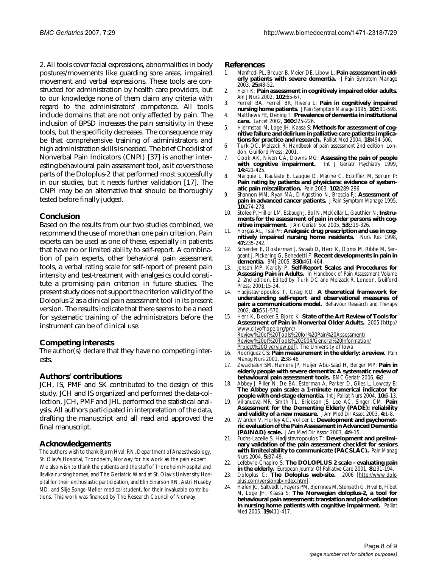2. All tools cover facial expressions, abnormalities in body postures/movements like guarding sore areas, impaired movement and verbal expressions. These tools are constructed for administration by health care providers, but to our knowledge none of them claim any criteria with regard to the administrators' competence. All tools include domains that are not only affected by pain. The inclusion of BPSD increases the pain sensitivity in these tools, but the specificity decreases. The consequence may be that comprehensive training of administrators and high administration skills is needed. The brief Checklist of Nonverbal Pain Indicators (CNPI) [37] is another interesting behavioural pain assessment tool, as it covers those parts of the Doloplus-2 that performed most successfully in our studies, but it needs further validation [17]. The CNPI may be an alternative that should be thoroughly tested before finally judged.

## **Conclusion**

Based on the results from our two studies combined, we recommend the use of more than one pain criterion. Pain experts can be used as one of these, especially in patients that have no or limited ability to self-report. A combination of pain experts, other behavioral pain assessment tools, a verbal rating scale for self-report of present pain intensity and test-treatment with analgesics could constitute a promising pain criterion in future studies. The present study does not support the criterion validity of the Doloplus-2 as a clinical pain assessment tool in its present version. The results indicate that there seems to be a need for systematic training of the administrators before the instrument can be of clinical use.

## **Competing interests**

The author(s) declare that they have no competing interests.

#### **Authors' contributions**

JCH, IS, PMF and SK contributed to the design of this study. JCH and IS organized and performed the data-collection. JCH, PMF and JHL performed the statistical analysis. All authors participated in interpretation of the data, drafting the manuscript and all read and approved the final manuscript.

## **Acknowledgements**

The authors wish to thank Bjørn Hval, RN, Department of Anaesthesiology, St. Olav's Hospital, Trondheim, Norway for his work as the pain expert. We also wish to thank the patients and the staff of Trondheim Hospital and Ilsvika nursing homes, and The Geriatric Ward at St. Olav's University Hospital for their enthusiastic participation, and Elin Einarson RN, Astri Huseby MD, and Silje Songe-Møller medical student, for their invaluable contributions. This work was financed by The Research Council of Norway.

#### **References**

- 1. Manfredi PL, Breuer B, Meier DE, Libow L: **[Pain assessment in eld](http://www.ncbi.nlm.nih.gov/entrez/query.fcgi?cmd=Retrieve&db=PubMed&dopt=Abstract&list_uids=12565188)[erly patients with severe dementia.](http://www.ncbi.nlm.nih.gov/entrez/query.fcgi?cmd=Retrieve&db=PubMed&dopt=Abstract&list_uids=12565188)** *J Pain Symptom Manage* 2003, **25:**48-52.
- 2. Herr K: **[Pain assessment in cognitively impaired older adults.](http://www.ncbi.nlm.nih.gov/entrez/query.fcgi?cmd=Retrieve&db=PubMed&dopt=Abstract&list_uids=12473932)** *Am J Nurs* 2002, **102:**65-67.
- 3. Ferrell BA, Ferrell BR, Rivera L: **[Pain in cognitively impaired](http://www.ncbi.nlm.nih.gov/entrez/query.fcgi?cmd=Retrieve&db=PubMed&dopt=Abstract&list_uids=8594119) [nursing home patients.](http://www.ncbi.nlm.nih.gov/entrez/query.fcgi?cmd=Retrieve&db=PubMed&dopt=Abstract&list_uids=8594119)** *J Pain Symptom Manage* 1995, **10:**591-598.
- 4. Matthews FE, Dening T: **[Prevalence of dementia in institutional](http://www.ncbi.nlm.nih.gov/entrez/query.fcgi?cmd=Retrieve&db=PubMed&dopt=Abstract&list_uids=12133659) [care.](http://www.ncbi.nlm.nih.gov/entrez/query.fcgi?cmd=Retrieve&db=PubMed&dopt=Abstract&list_uids=12133659)** *Lancet* 2002, **360:**225-226.
- 5. Hjermstad M, Loge JH, Kaasa S: **[Methods for assessment of cog](http://www.ncbi.nlm.nih.gov/entrez/query.fcgi?cmd=Retrieve&db=PubMed&dopt=Abstract&list_uids=15453620)[nitive failure and delirium in palliative care patients: implica](http://www.ncbi.nlm.nih.gov/entrez/query.fcgi?cmd=Retrieve&db=PubMed&dopt=Abstract&list_uids=15453620)[tions for practice and research.](http://www.ncbi.nlm.nih.gov/entrez/query.fcgi?cmd=Retrieve&db=PubMed&dopt=Abstract&list_uids=15453620)** *Palliat Med* 2004, **18:**494-506.
- 6. Turk DC, Melzack R: *Handbook of pain assessment* 2nd edition. London, Guilford Press; 2001.
- 7. Cook AK, Niven CA, Downs MG: **[Assessing the pain of people](http://www.ncbi.nlm.nih.gov/entrez/query.fcgi?cmd=Retrieve&db=PubMed&dopt=Abstract&list_uids=10398350) [with cognitive impairment.](http://www.ncbi.nlm.nih.gov/entrez/query.fcgi?cmd=Retrieve&db=PubMed&dopt=Abstract&list_uids=10398350)** *Int J Geriatr Psychiatry* 1999, **14:**421-425.
- 8. Marquie L, Raufaste E, Lauque D, Marine C, Ecoiffier M, Sorum P: **[Pain rating by patients and physicians: evidence of system](http://www.ncbi.nlm.nih.gov/entrez/query.fcgi?cmd=Retrieve&db=PubMed&dopt=Abstract&list_uids=12670671)[atic pain miscalibration.](http://www.ncbi.nlm.nih.gov/entrez/query.fcgi?cmd=Retrieve&db=PubMed&dopt=Abstract&list_uids=12670671)** *Pain* 2003, **102:**289-296.
- 9. Shannon MM, Ryan MA, D'Agostino N, Brescia FJ: **[Assessment of](http://www.ncbi.nlm.nih.gov/entrez/query.fcgi?cmd=Retrieve&db=PubMed&dopt=Abstract&list_uids=7602178) [pain in advanced cancer patients.](http://www.ncbi.nlm.nih.gov/entrez/query.fcgi?cmd=Retrieve&db=PubMed&dopt=Abstract&list_uids=7602178)** *J Pain Symptom Manage* 1995, **10:**274-278.
- 10. Stolee P, Hillier LM, Esbaugh J, Bol N, McKellar L, Gauthier N: **[Instru](http://www.ncbi.nlm.nih.gov/entrez/query.fcgi?cmd=Retrieve&db=PubMed&dopt=Abstract&list_uids=15673359)[ments for the assessment of pain in older persons with cog](http://www.ncbi.nlm.nih.gov/entrez/query.fcgi?cmd=Retrieve&db=PubMed&dopt=Abstract&list_uids=15673359)[nitive impairment.](http://www.ncbi.nlm.nih.gov/entrez/query.fcgi?cmd=Retrieve&db=PubMed&dopt=Abstract&list_uids=15673359)** *J Am Geriatr Soc* 2005, **53:**319-326.
- 11. Horgas AL, Tsai PF: **[Analgesic drug prescription and use in cog](http://www.ncbi.nlm.nih.gov/entrez/query.fcgi?cmd=Retrieve&db=PubMed&dopt=Abstract&list_uids=9683119)[nitively impaired nursing home residents.](http://www.ncbi.nlm.nih.gov/entrez/query.fcgi?cmd=Retrieve&db=PubMed&dopt=Abstract&list_uids=9683119)** *Nurs Res* 1998, **47:**235-242.
- 12. Scherder E, Oosterman J, Swaab D, Herr K, Ooms M, Ribbe M, Sergeant J, Pickering G, Benedetti F: **[Recent developments in pain in](http://www.ncbi.nlm.nih.gov/entrez/query.fcgi?cmd=Retrieve&db=PubMed&dopt=Abstract&list_uids=15731144) [dementia.](http://www.ncbi.nlm.nih.gov/entrez/query.fcgi?cmd=Retrieve&db=PubMed&dopt=Abstract&list_uids=15731144)** *BMJ* 2005, **330:**461-464.
- 13. Jensen MP, Karoly P: **Self-Report Scales and Procedures for Assessing Pain in Adults.** In *Handbook of Pain Assessment Volume 2*. 2nd edition. Edited by: Turk DC and Melzack R. London, Guilford Press; 2001:15-34.
- 14. Hadjistavropoulos T, Craig KD: **A theoretical framework for understanding self-report and observational measures of pain: a communications model.** *Behaviour Research and Therapy* 2002, **40:**551-570.
- 15. Herr K, Decker S, Bjoro K: **State of the Art Review of Tools for Assessment of Pain in Nonverbal Older Adults.** 2005 [\[http://](http://www.cityofhope.org/prc/Review%20of%20Tools%20for%20Pain%20Assessment/Review%20of%20Tools%202004/General%20Information/Project%20Overview.pdf) www.cityofhope.org/prc/ [Review%20of%20Tools%20for%20Pain%20Assessment/](http://www.cityofhope.org/prc/Review%20of%20Tools%20for%20Pain%20Assessment/Review%20of%20Tools%202004/General%20Information/Project%20Overview.pdf) Review%20of%20Tools%202004/General%20Information/ [Project%20Overview.pdf\]](http://www.cityofhope.org/prc/Review%20of%20Tools%20for%20Pain%20Assessment/Review%20of%20Tools%202004/General%20Information/Project%20Overview.pdf). The University of Iowa
- 16. Rodriguez CS: **[Pain measurement in the elderly: a review.](http://www.ncbi.nlm.nih.gov/entrez/query.fcgi?cmd=Retrieve&db=PubMed&dopt=Abstract&list_uids=11706769)** *Pain Manag Nurs* 2001, **2:**38-46.
- 17. Zwakhalen SM, Hamers JP, Huijer Abu-Saad H, Berger MP: **[Pain in](http://www.ncbi.nlm.nih.gov/entrez/query.fcgi?cmd=Retrieve&db=PubMed&dopt=Abstract&list_uids=16441889) [elderly people with severe dementia: A systematic review of](http://www.ncbi.nlm.nih.gov/entrez/query.fcgi?cmd=Retrieve&db=PubMed&dopt=Abstract&list_uids=16441889) [behavioural pain assessment tools.](http://www.ncbi.nlm.nih.gov/entrez/query.fcgi?cmd=Retrieve&db=PubMed&dopt=Abstract&list_uids=16441889)** *BMC Geriatr* 2006, **6:**3.
- Abbey J, Piller N, De BA, Esterman A, Parker D, Giles L, Lowcay B: **[The Abbey pain scale: a 1-minute numerical indicator for](http://www.ncbi.nlm.nih.gov/entrez/query.fcgi?cmd=Retrieve&db=PubMed&dopt=Abstract&list_uids=14966439) [people with end-stage dementia.](http://www.ncbi.nlm.nih.gov/entrez/query.fcgi?cmd=Retrieve&db=PubMed&dopt=Abstract&list_uids=14966439)** *Int J Palliat Nurs* 2004, **10:**6-13.
- 19. Villanueva MR, Smith TL, Erickson JS, Lee AC, Singer CM: **[Pain](http://www.ncbi.nlm.nih.gov/entrez/query.fcgi?cmd=Retrieve&db=PubMed&dopt=Abstract&list_uids=12807590) [Assessment for the Dementing Elderly \(PADE\): reliability](http://www.ncbi.nlm.nih.gov/entrez/query.fcgi?cmd=Retrieve&db=PubMed&dopt=Abstract&list_uids=12807590) [and validity of a new measure.](http://www.ncbi.nlm.nih.gov/entrez/query.fcgi?cmd=Retrieve&db=PubMed&dopt=Abstract&list_uids=12807590)** *J Am Med Dir Assoc* 2003, **4:**1-8.
- 20. Warden V, Hurley AC, Volicer L: **[Development and psychomet](http://www.ncbi.nlm.nih.gov/entrez/query.fcgi?cmd=Retrieve&db=PubMed&dopt=Abstract&list_uids=12807591)[ric evaluation of the Pain Assessment in Advanced Dementia](http://www.ncbi.nlm.nih.gov/entrez/query.fcgi?cmd=Retrieve&db=PubMed&dopt=Abstract&list_uids=12807591) [\(PAINAD\) scale.](http://www.ncbi.nlm.nih.gov/entrez/query.fcgi?cmd=Retrieve&db=PubMed&dopt=Abstract&list_uids=12807591)** *J Am Med Dir Assoc* 2003, **4:**9-15.
- 21. Fuchs-Lacelle S, Hadjistavropoulos T: **[Development and prelimi](http://www.ncbi.nlm.nih.gov/entrez/query.fcgi?cmd=Retrieve&db=PubMed&dopt=Abstract&list_uids=14999652)[nary validation of the pain assessment checklist for seniors](http://www.ncbi.nlm.nih.gov/entrez/query.fcgi?cmd=Retrieve&db=PubMed&dopt=Abstract&list_uids=14999652) [with limited ability to communicate \(PACSLAC\).](http://www.ncbi.nlm.nih.gov/entrez/query.fcgi?cmd=Retrieve&db=PubMed&dopt=Abstract&list_uids=14999652)** *Pain Manag Nurs* 2004, **5:**37-49.
- 22. Lefebvre-Chapiro S: **The DOLOPLUS 2 scale evaluating pain in the elderly.** *European Journal Of Palliative Care* 2001, **8:**191-194.
- 23. Doloplus C: **The Doloplus web-site.** 2006 [[http://www.dolo](http://www.doloplus.com/versiongb/index.htm) [plus.com/versiongb/index.htm\]](http://www.doloplus.com/versiongb/index.htm).
- 24. Hølen JC, Saltvedt I, Fayers PM, Bjornnes M, Stenseth G, Hval B, Filbet M, Loge JH, Kaasa S: **[The Norwegian doloplus-2, a tool for](http://www.ncbi.nlm.nih.gov/entrez/query.fcgi?cmd=Retrieve&db=PubMed&dopt=Abstract&list_uids=16111065) [behavioural pain assessment: translation and pilot-validation](http://www.ncbi.nlm.nih.gov/entrez/query.fcgi?cmd=Retrieve&db=PubMed&dopt=Abstract&list_uids=16111065) [in nursing home patients with cognitive impairment.](http://www.ncbi.nlm.nih.gov/entrez/query.fcgi?cmd=Retrieve&db=PubMed&dopt=Abstract&list_uids=16111065)** *Palliat Med* 2005, **19:**411-417.